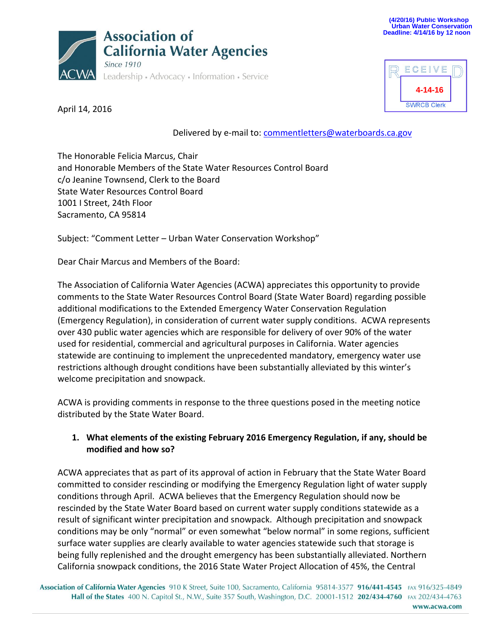



April 14, 2016

Delivered by e-mail to: [commentletters@waterboards.ca.gov](mailto:commentletters@waterboards.ca.gov)

The Honorable Felicia Marcus, Chair and Honorable Members of the State Water Resources Control Board c/o Jeanine Townsend, Clerk to the Board State Water Resources Control Board 1001 I Street, 24th Floor Sacramento, CA 95814

Subject: "Comment Letter – Urban Water Conservation Workshop"

Dear Chair Marcus and Members of the Board:

The Association of California Water Agencies (ACWA) appreciates this opportunity to provide comments to the State Water Resources Control Board (State Water Board) regarding possible additional modifications to the Extended Emergency Water Conservation Regulation (Emergency Regulation), in consideration of current water supply conditions. ACWA represents over 430 public water agencies which are responsible for delivery of over 90% of the water used for residential, commercial and agricultural purposes in California. Water agencies statewide are continuing to implement the unprecedented mandatory, emergency water use restrictions although drought conditions have been substantially alleviated by this winter's welcome precipitation and snowpack.

ACWA is providing comments in response to the three questions posed in the meeting notice distributed by the State Water Board.

## **1. What elements of the existing February 2016 Emergency Regulation, if any, should be modified and how so?**

ACWA appreciates that as part of its approval of action in February that the State Water Board committed to consider rescinding or modifying the Emergency Regulation light of water supply conditions through April. ACWA believes that the Emergency Regulation should now be rescinded by the State Water Board based on current water supply conditions statewide as a result of significant winter precipitation and snowpack. Although precipitation and snowpack conditions may be only "normal" or even somewhat "below normal" in some regions, sufficient surface water supplies are clearly available to water agencies statewide such that storage is being fully replenished and the drought emergency has been substantially alleviated. Northern California snowpack conditions, the 2016 State Water Project Allocation of 45%, the Central

Association of California Water Agencies 910 K Street, Suite 100, Sacramento, California 95814-3577 916/441-4545 FAX 916/325-4849 Hall of the States 400 N. Capitol St., N.W., Suite 357 South, Washington, D.C. 20001-1512 202/434-4760 FAX 202/434-4763 www.acwa.com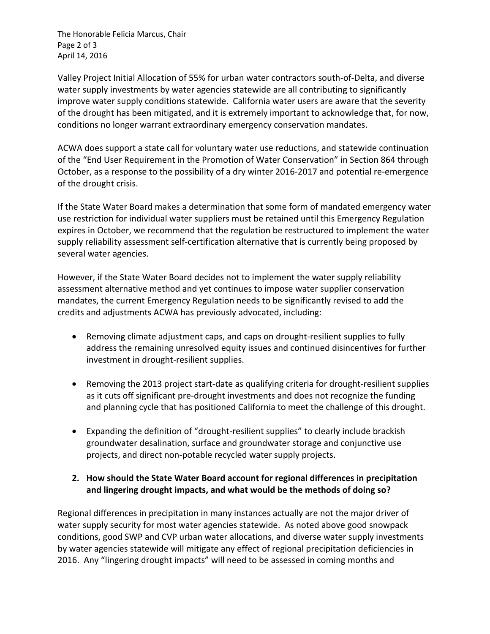The Honorable Felicia Marcus, Chair Page 2 of 3 April 14, 2016

Valley Project Initial Allocation of 55% for urban water contractors south-of-Delta, and diverse water supply investments by water agencies statewide are all contributing to significantly improve water supply conditions statewide. California water users are aware that the severity of the drought has been mitigated, and it is extremely important to acknowledge that, for now, conditions no longer warrant extraordinary emergency conservation mandates.

ACWA does support a state call for voluntary water use reductions, and statewide continuation of the "End User Requirement in the Promotion of Water Conservation" in Section 864 through October, as a response to the possibility of a dry winter 2016-2017 and potential re-emergence of the drought crisis.

If the State Water Board makes a determination that some form of mandated emergency water use restriction for individual water suppliers must be retained until this Emergency Regulation expires in October, we recommend that the regulation be restructured to implement the water supply reliability assessment self-certification alternative that is currently being proposed by several water agencies.

However, if the State Water Board decides not to implement the water supply reliability assessment alternative method and yet continues to impose water supplier conservation mandates, the current Emergency Regulation needs to be significantly revised to add the credits and adjustments ACWA has previously advocated, including:

- Removing climate adjustment caps, and caps on drought-resilient supplies to fully address the remaining unresolved equity issues and continued disincentives for further investment in drought-resilient supplies.
- Removing the 2013 project start-date as qualifying criteria for drought-resilient supplies as it cuts off significant pre-drought investments and does not recognize the funding and planning cycle that has positioned California to meet the challenge of this drought.
- Expanding the definition of "drought-resilient supplies" to clearly include brackish groundwater desalination, surface and groundwater storage and conjunctive use projects, and direct non-potable recycled water supply projects.

## **2. How should the State Water Board account for regional differences in precipitation and lingering drought impacts, and what would be the methods of doing so?**

Regional differences in precipitation in many instances actually are not the major driver of water supply security for most water agencies statewide. As noted above good snowpack conditions, good SWP and CVP urban water allocations, and diverse water supply investments by water agencies statewide will mitigate any effect of regional precipitation deficiencies in 2016. Any "lingering drought impacts" will need to be assessed in coming months and